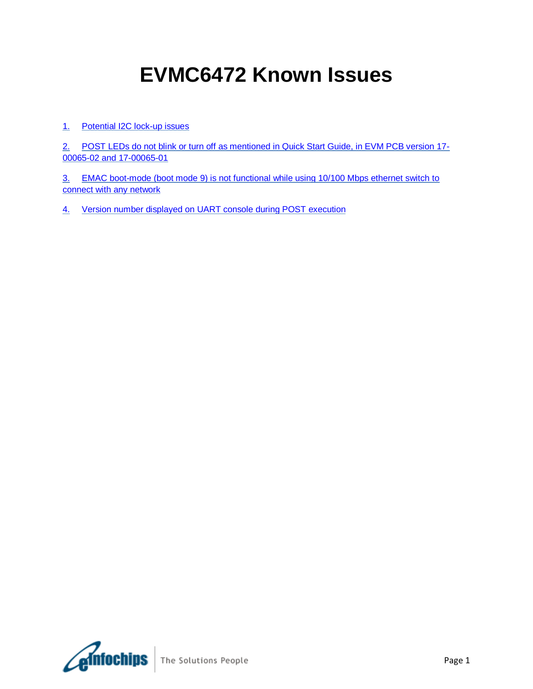# **EVMC6472 Known Issues**

## 1. [Potential I2C lock-up issues](#page-1-0)

2. [POST LEDs do not blink or turn off as mentioned in Quick Start Guide, in EVM PCB version 17-](#page-1-1) [00065-02 and 17-00065-01](#page-1-1)

3. [EMAC boot-mode \(boot mode 9\) is not functional while using 10/100 Mbps ethernet switch to](#page-1-2)  [connect with any network](#page-1-2)

4. [Version number displayed on UART console during POST execution](#page-1-3)

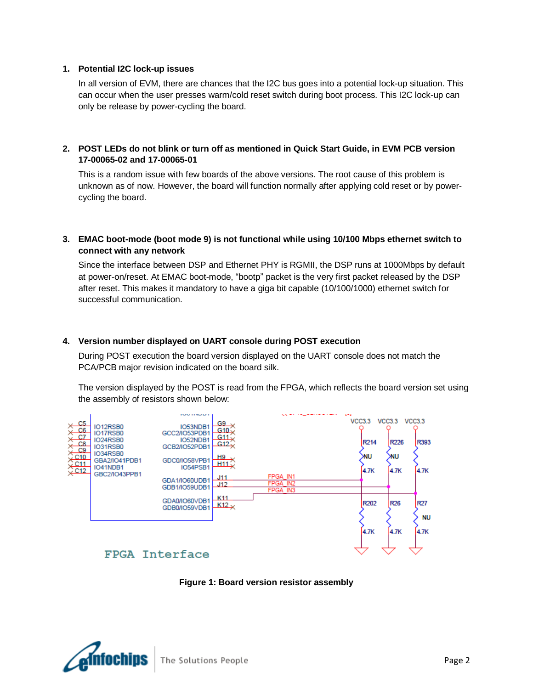#### <span id="page-1-0"></span>**1. Potential I2C lock-up issues**

In all version of EVM, there are chances that the I2C bus goes into a potential lock-up situation. This can occur when the user presses warm/cold reset switch during boot process. This I2C lock-up can only be release by power-cycling the board.

## <span id="page-1-1"></span>**2. POST LEDs do not blink or turn off as mentioned in Quick Start Guide, in EVM PCB version 17-00065-02 and 17-00065-01**

This is a random issue with few boards of the above versions. The root cause of this problem is unknown as of now. However, the board will function normally after applying cold reset or by powercycling the board.

#### <span id="page-1-2"></span>**3. EMAC boot-mode (boot mode 9) is not functional while using 10/100 Mbps ethernet switch to connect with any network**

Since the interface between DSP and Ethernet PHY is RGMII, the DSP runs at 1000Mbps by default at power-on/reset. At EMAC boot-mode, "bootp" packet is the very first packet released by the DSP after reset. This makes it mandatory to have a giga bit capable (10/100/1000) ethernet switch for successful communication.

#### <span id="page-1-3"></span>**4. Version number displayed on UART console during POST execution**

During POST execution the board version displayed on the UART console does not match the PCA/PCB major revision indicated on the board silk.

The version displayed by the POST is read from the FPGA, which reflects the board version set using the assembly of resistors shown below:



# **Figure 1: Board version resistor assembly**